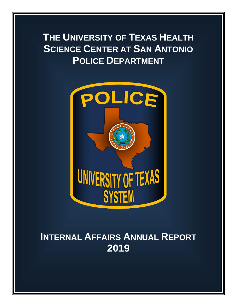# **THE UNIVERSITY OF TEXAS HEALTH SCIENCE CENTER AT SAN ANTONIO POLICE DEPARTMENT**



## **INTERNAL AFFAIRS ANNUAL REPORT 2019**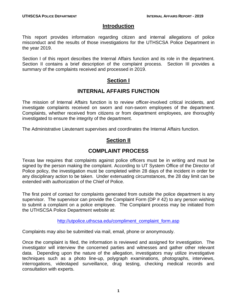#### **Introduction**

This report provides information regarding citizen and internal allegations of police misconduct and the results of those investigations for the UTHSCSA Police Department in the year 2019.

Section I of this report describes the Internal Affairs function and its role in the department. Section II contains a brief description of the complaint process. Section III provides a summary of the complaints received and processed in 2019.

## **Section I**

## **INTERNAL AFFAIRS FUNCTION**

The mission of Internal Affairs function is to review officer-involved critical incidents, and investigate complaints received on sworn and non-sworn employees of the department. Complaints, whether received from citizens or from department employees, are thoroughly investigated to ensure the integrity of the department.

The Administrative Lieutenant supervises and coordinates the Internal Affairs function.

## **Section II**

## **COMPLAINT PROCESS**

Texas law requires that complaints against police officers must be in writing and must be signed by the person making the complaint. According to UT System Office of the Director of Police policy, the investigation must be completed within 28 days of the incident in order for any disciplinary action to be taken. Under extenuating circumstances, the 28 day limit can be extended with authorization of the Chief of Police.

The first point of contact for complaints generated from outside the police department is any supervisor. The supervisor can provide the Complaint Form (DP # 42) to any person wishing to submit a complaint on a police employee. The Complaint process may be initiated from the UTHSCSA Police Department website at:

[http://utpolice.uthscsa.edu/compliment\\_complaint\\_form.asp](http://utpolice.uthscsa.edu/compliment_complaint_form.asp)

Complaints may also be submitted via mail, email, phone or anonymously.

Once the complaint is filed, the information is reviewed and assigned for investigation. The investigator will interview the concerned parties and witnesses and gather other relevant data. Depending upon the nature of the allegation, investigators may utilize investigative techniques such as a photo line-up, polygraph examinations, photographs, interviews, interrogations, videotaped surveillance, drug testing, checking medical records and consultation with experts.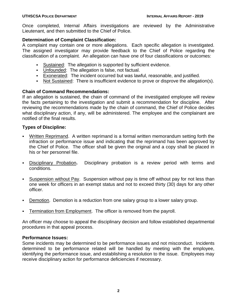Once completed, Internal Affairs investigations are reviewed by the Administrative Lieutenant, and then submitted to the Chief of Police.

#### **Determination of Complaint Classification:**

A complaint may contain one or more allegations. Each specific allegation is investigated. The assigned investigator may provide feedback to the Chief of Police regarding the classification of a complaint. An allegation can have one of four classifications or outcomes:

- Sustained: The allegation is supported by sufficient evidence.
- Unfounded: The allegation is false, not factual.
- Exonerated: The incident occurred but was lawful, reasonable, and justified.
- Not Sustained: There is insufficient evidence to prove or disprove the allegation(s).

#### **Chain of Command Recommendations:**

If an allegation is sustained, the chain of command of the investigated employee will review the facts pertaining to the investigation and submit a recommendation for discipline. After reviewing the recommendations made by the chain of command, the Chief of Police decides what disciplinary action, if any, will be administered. The employee and the complainant are notified of the final results.

#### **Types of Discipline:**

- Written Reprimand. A written reprimand is a formal written memorandum setting forth the infraction or performance issue and indicating that the reprimand has been approved by the Chief of Police. The officer shall be given the original and a copy shall be placed in his or her personnel file.
- Disciplinary Probation**.** Disciplinary probation is a review period with terms and conditions.
- Suspension without Pay. Suspension without pay is time off without pay for not less than one week for officers in an exempt status and not to exceed thirty (30) days for any other officer.
- **Demotion. Demotion is a reduction from one salary group to a lower salary group.**
- Termination from Employment. The officer is removed from the payroll.

An officer may choose to appeal the disciplinary decision and follow established departmental procedures in that appeal process.

#### **Performance Issues:**

Some incidents may be determined to be performance issues and not misconduct. Incidents determined to be performance related will be handled by meeting with the employee, identifying the performance issue, and establishing a resolution to the issue. Employees may receive disciplinary action for performance deficiencies if necessary.